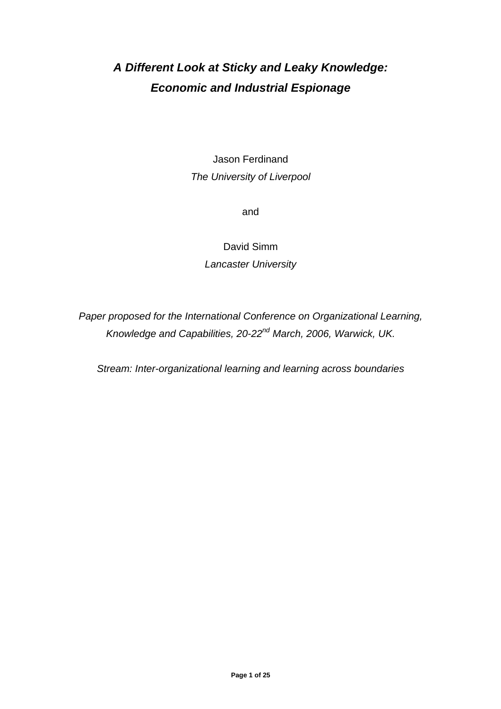# *A Different Look at Sticky and Leaky Knowledge: Economic and Industrial Espionage*

Jason Ferdinand *The University of Liverpool* 

and

David Simm *Lancaster University* 

*Paper proposed for the International Conference on Organizational Learning, Knowledge and Capabilities, 20-22nd March, 2006, Warwick, UK.* 

*Stream: Inter-organizational learning and learning across boundaries*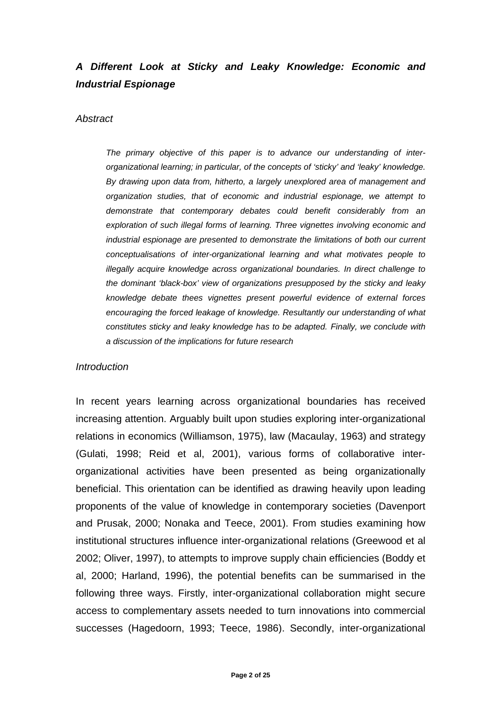## *A Different Look at Sticky and Leaky Knowledge: Economic and Industrial Espionage*

#### *Abstract*

*The primary objective of this paper is to advance our understanding of interorganizational learning; in particular, of the concepts of 'sticky' and 'leaky' knowledge. By drawing upon data from, hitherto, a largely unexplored area of management and organization studies, that of economic and industrial espionage, we attempt to demonstrate that contemporary debates could benefit considerably from an exploration of such illegal forms of learning. Three vignettes involving economic and industrial espionage are presented to demonstrate the limitations of both our current conceptualisations of inter-organizational learning and what motivates people to illegally acquire knowledge across organizational boundaries. In direct challenge to the dominant 'black-box' view of organizations presupposed by the sticky and leaky knowledge debate thees vignettes present powerful evidence of external forces encouraging the forced leakage of knowledge. Resultantly our understanding of what constitutes sticky and leaky knowledge has to be adapted. Finally, we conclude with a discussion of the implications for future research* 

#### *Introduction*

In recent years learning across organizational boundaries has received increasing attention. Arguably built upon studies exploring inter-organizational relations in economics (Williamson, 1975), law (Macaulay, 1963) and strategy (Gulati, 1998; Reid et al, 2001), various forms of collaborative interorganizational activities have been presented as being organizationally beneficial. This orientation can be identified as drawing heavily upon leading proponents of the value of knowledge in contemporary societies (Davenport and Prusak, 2000; Nonaka and Teece, 2001). From studies examining how institutional structures influence inter-organizational relations (Greewood et al 2002; Oliver, 1997), to attempts to improve supply chain efficiencies (Boddy et al, 2000; Harland, 1996), the potential benefits can be summarised in the following three ways. Firstly, inter-organizational collaboration might secure access to complementary assets needed to turn innovations into commercial successes (Hagedoorn, 1993; Teece, 1986). Secondly, inter-organizational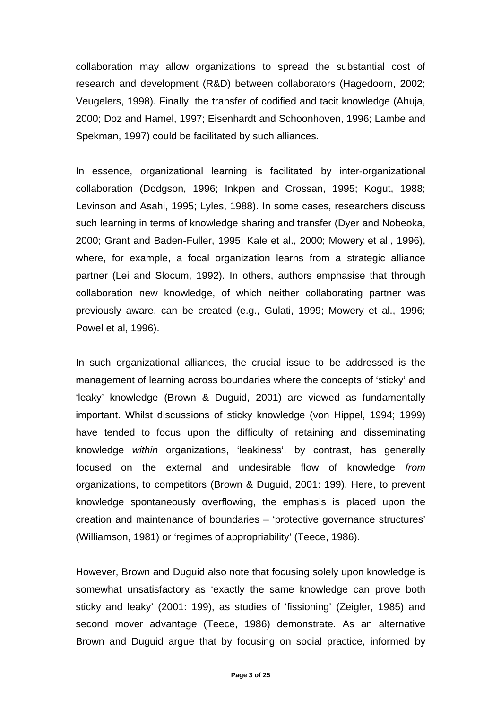collaboration may allow organizations to spread the substantial cost of research and development (R&D) between collaborators (Hagedoorn, 2002; Veugelers, 1998). Finally, the transfer of codified and tacit knowledge (Ahuja, 2000; Doz and Hamel, 1997; Eisenhardt and Schoonhoven, 1996; Lambe and Spekman, 1997) could be facilitated by such alliances.

In essence, organizational learning is facilitated by inter-organizational collaboration (Dodgson, 1996; Inkpen and Crossan, 1995; Kogut, 1988; Levinson and Asahi, 1995; Lyles, 1988). In some cases, researchers discuss such learning in terms of knowledge sharing and transfer (Dyer and Nobeoka, 2000; Grant and Baden-Fuller, 1995; Kale et al., 2000; Mowery et al., 1996), where, for example, a focal organization learns from a strategic alliance partner (Lei and Slocum, 1992). In others, authors emphasise that through collaboration new knowledge, of which neither collaborating partner was previously aware, can be created (e.g., Gulati, 1999; Mowery et al., 1996; Powel et al, 1996).

In such organizational alliances, the crucial issue to be addressed is the management of learning across boundaries where the concepts of 'sticky' and 'leaky' knowledge (Brown & Duguid, 2001) are viewed as fundamentally important. Whilst discussions of sticky knowledge (von Hippel, 1994; 1999) have tended to focus upon the difficulty of retaining and disseminating knowledge *within* organizations, 'leakiness', by contrast, has generally focused on the external and undesirable flow of knowledge *from* organizations, to competitors (Brown & Duguid, 2001: 199). Here, to prevent knowledge spontaneously overflowing, the emphasis is placed upon the creation and maintenance of boundaries – 'protective governance structures' (Williamson, 1981) or 'regimes of appropriability' (Teece, 1986).

However, Brown and Duguid also note that focusing solely upon knowledge is somewhat unsatisfactory as 'exactly the same knowledge can prove both sticky and leaky' (2001: 199), as studies of 'fissioning' (Zeigler, 1985) and second mover advantage (Teece, 1986) demonstrate. As an alternative Brown and Duguid argue that by focusing on social practice, informed by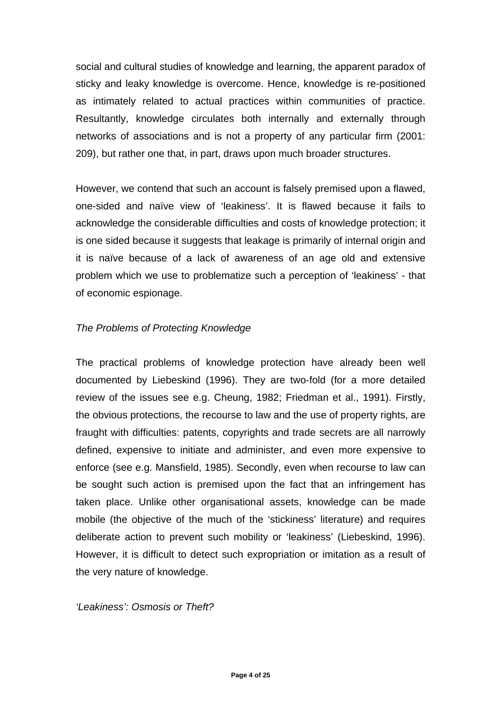social and cultural studies of knowledge and learning, the apparent paradox of sticky and leaky knowledge is overcome. Hence, knowledge is re-positioned as intimately related to actual practices within communities of practice. Resultantly, knowledge circulates both internally and externally through networks of associations and is not a property of any particular firm (2001: 209), but rather one that, in part, draws upon much broader structures.

However, we contend that such an account is falsely premised upon a flawed, one-sided and naïve view of 'leakiness'. It is flawed because it fails to acknowledge the considerable difficulties and costs of knowledge protection; it is one sided because it suggests that leakage is primarily of internal origin and it is naïve because of a lack of awareness of an age old and extensive problem which we use to problematize such a perception of 'leakiness' - that of economic espionage.

## *The Problems of Protecting Knowledge*

The practical problems of knowledge protection have already been well documented by Liebeskind (1996). They are two-fold (for a more detailed review of the issues see e.g. Cheung, 1982; Friedman et al., 1991). Firstly, the obvious protections, the recourse to law and the use of property rights, are fraught with difficulties: patents, copyrights and trade secrets are all narrowly defined, expensive to initiate and administer, and even more expensive to enforce (see e.g. Mansfield, 1985). Secondly, even when recourse to law can be sought such action is premised upon the fact that an infringement has taken place. Unlike other organisational assets, knowledge can be made mobile (the objective of the much of the 'stickiness' literature) and requires deliberate action to prevent such mobility or 'leakiness' (Liebeskind, 1996). However, it is difficult to detect such expropriation or imitation as a result of the very nature of knowledge.

*'Leakiness': Osmosis or Theft?*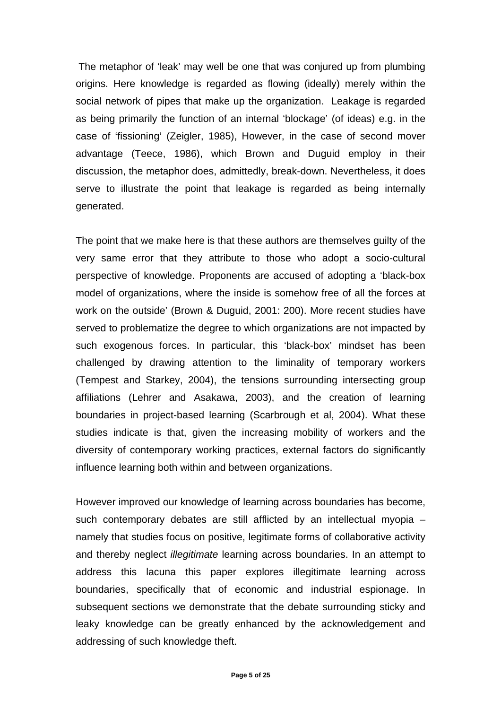The metaphor of 'leak' may well be one that was conjured up from plumbing origins. Here knowledge is regarded as flowing (ideally) merely within the social network of pipes that make up the organization. Leakage is regarded as being primarily the function of an internal 'blockage' (of ideas) e.g. in the case of 'fissioning' (Zeigler, 1985), However, in the case of second mover advantage (Teece, 1986), which Brown and Duguid employ in their discussion, the metaphor does, admittedly, break-down. Nevertheless, it does serve to illustrate the point that leakage is regarded as being internally generated.

The point that we make here is that these authors are themselves guilty of the very same error that they attribute to those who adopt a socio-cultural perspective of knowledge. Proponents are accused of adopting a 'black-box model of organizations, where the inside is somehow free of all the forces at work on the outside' (Brown & Duguid, 2001: 200). More recent studies have served to problematize the degree to which organizations are not impacted by such exogenous forces. In particular, this 'black-box' mindset has been challenged by drawing attention to the liminality of temporary workers (Tempest and Starkey, 2004), the tensions surrounding intersecting group affiliations (Lehrer and Asakawa, 2003), and the creation of learning boundaries in project-based learning (Scarbrough et al, 2004). What these studies indicate is that, given the increasing mobility of workers and the diversity of contemporary working practices, external factors do significantly influence learning both within and between organizations.

However improved our knowledge of learning across boundaries has become, such contemporary debates are still afflicted by an intellectual myopia – namely that studies focus on positive, legitimate forms of collaborative activity and thereby neglect *illegitimate* learning across boundaries. In an attempt to address this lacuna this paper explores illegitimate learning across boundaries, specifically that of economic and industrial espionage. In subsequent sections we demonstrate that the debate surrounding sticky and leaky knowledge can be greatly enhanced by the acknowledgement and addressing of such knowledge theft.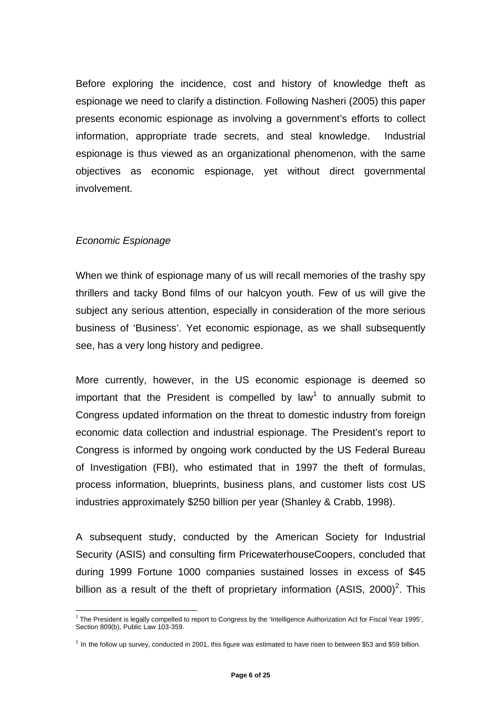Before exploring the incidence, cost and history of knowledge theft as espionage we need to clarify a distinction. Following Nasheri (2005) this paper presents economic espionage as involving a government's efforts to collect information, appropriate trade secrets, and steal knowledge. Industrial espionage is thus viewed as an organizational phenomenon, with the same objectives as economic espionage, yet without direct governmental involvement.

## *Economic Espionage*

When we think of espionage many of us will recall memories of the trashy spy thrillers and tacky Bond films of our halcyon youth. Few of us will give the subject any serious attention, especially in consideration of the more serious business of 'Business'. Yet economic espionage, as we shall subsequently see, has a very long history and pedigree.

More currently, however, in the US economic espionage is deemed so important that the President is compelled by law<sup>1</sup> to annually submit to Congress updated information on the threat to domestic industry from foreign economic data collection and industrial espionage. The President's report to Congress is informed by ongoing work conducted by the US Federal Bureau of Investigation (FBI), who estimated that in 1997 the theft of formulas, process information, blueprints, business plans, and customer lists cost US industries approximately \$250 billion per year (Shanley & Crabb, 1998).

A subsequent study, conducted by the American Society for Industrial Security (ASIS) and consulting firm PricewaterhouseCoopers, concluded that during 1999 Fortune 1000 companies sustained losses in excess of \$45 billion as a result of the theft of proprietary information (ASIS, 2000)<sup>2</sup>. This

 $\overline{a}$ <sup>1</sup> The President is legally compelled to report to Congress by the 'Intelligence Authorization Act for Fiscal Year 1995', Section 809(b), Public Law 103-359.

 $^2$  In the follow up survey, conducted in 2001, this figure was estimated to have risen to between \$53 and \$59 billion.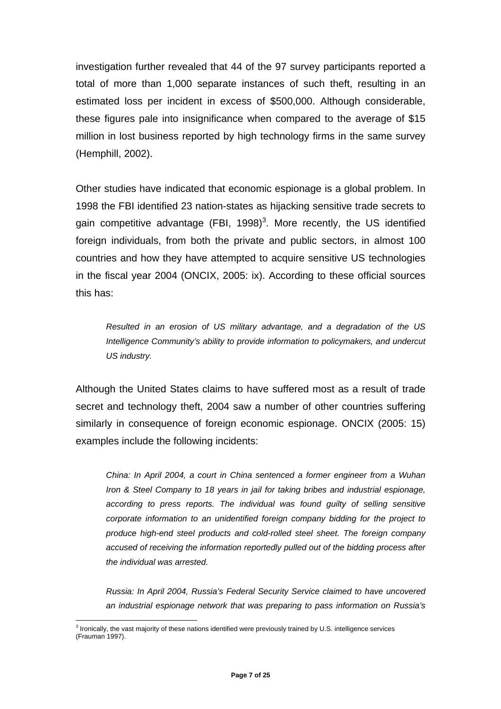investigation further revealed that 44 of the 97 survey participants reported a total of more than 1,000 separate instances of such theft, resulting in an estimated loss per incident in excess of \$500,000. Although considerable, these figures pale into insignificance when compared to the average of \$15 million in lost business reported by high technology firms in the same survey (Hemphill, 2002).

Other studies have indicated that economic espionage is a global problem. In 1998 the FBI identified 23 nation-states as hijacking sensitive trade secrets to gain competitive advantage (FBI, 1998)<sup>3</sup>. More recently, the US identified foreign individuals, from both the private and public sectors, in almost 100 countries and how they have attempted to acquire sensitive US technologies in the fiscal year 2004 (ONCIX, 2005: ix). According to these official sources this has:

*Resulted in an erosion of US military advantage, and a degradation of the US Intelligence Community's ability to provide information to policymakers, and undercut US industry.* 

Although the United States claims to have suffered most as a result of trade secret and technology theft, 2004 saw a number of other countries suffering similarly in consequence of foreign economic espionage. ONCIX (2005: 15) examples include the following incidents:

*China: In April 2004, a court in China sentenced a former engineer from a Wuhan Iron & Steel Company to 18 years in jail for taking bribes and industrial espionage, according to press reports. The individual was found guilty of selling sensitive corporate information to an unidentified foreign company bidding for the project to produce high-end steel products and cold-rolled steel sheet. The foreign company accused of receiving the information reportedly pulled out of the bidding process after the individual was arrested.* 

*Russia: In April 2004, Russia's Federal Security Service claimed to have uncovered an industrial espionage network that was preparing to pass information on Russia's* 

 $\overline{a}$ 

<sup>&</sup>lt;sup>3</sup> Ironically, the vast majority of these nations identified were previously trained by U.S. intelligence services (Frauman 1997).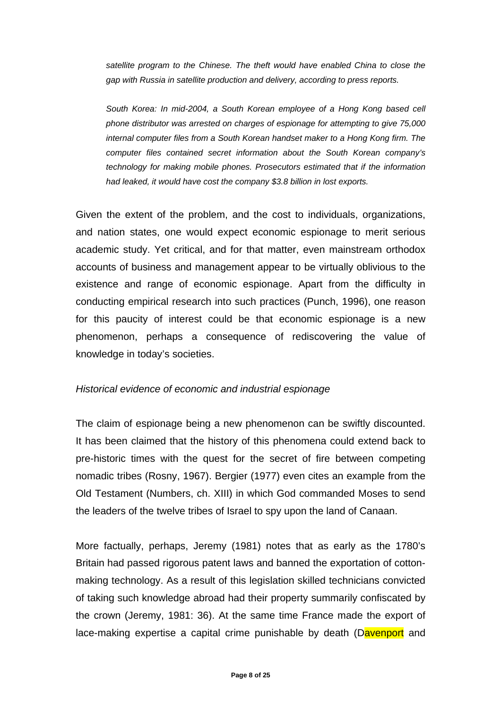*satellite program to the Chinese. The theft would have enabled China to close the gap with Russia in satellite production and delivery, according to press reports.* 

*South Korea: In mid-2004, a South Korean employee of a Hong Kong based cell phone distributor was arrested on charges of espionage for attempting to give 75,000 internal computer files from a South Korean handset maker to a Hong Kong firm. The computer files contained secret information about the South Korean company's technology for making mobile phones. Prosecutors estimated that if the information had leaked, it would have cost the company \$3.8 billion in lost exports.* 

Given the extent of the problem, and the cost to individuals, organizations, and nation states, one would expect economic espionage to merit serious academic study. Yet critical, and for that matter, even mainstream orthodox accounts of business and management appear to be virtually oblivious to the existence and range of economic espionage. Apart from the difficulty in conducting empirical research into such practices (Punch, 1996), one reason for this paucity of interest could be that economic espionage is a new phenomenon, perhaps a consequence of rediscovering the value of knowledge in today's societies.

## *Historical evidence of economic and industrial espionage*

The claim of espionage being a new phenomenon can be swiftly discounted. It has been claimed that the history of this phenomena could extend back to pre-historic times with the quest for the secret of fire between competing nomadic tribes (Rosny, 1967). Bergier (1977) even cites an example from the Old Testament (Numbers, ch. XIII) in which God commanded Moses to send the leaders of the twelve tribes of Israel to spy upon the land of Canaan.

More factually, perhaps, Jeremy (1981) notes that as early as the 1780's Britain had passed rigorous patent laws and banned the exportation of cottonmaking technology. As a result of this legislation skilled technicians convicted of taking such knowledge abroad had their property summarily confiscated by the crown (Jeremy, 1981: 36). At the same time France made the export of lace-making expertise a capital crime punishable by death (Davenport and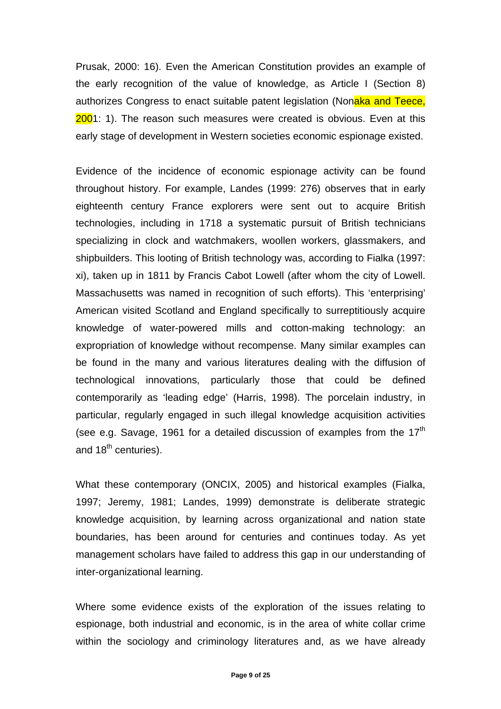Prusak, 2000: 16). Even the American Constitution provides an example of the early recognition of the value of knowledge, as Article I (Section 8) authorizes Congress to enact suitable patent legislation (Nonaka and Teece, 2001: 1). The reason such measures were created is obvious. Even at this early stage of development in Western societies economic espionage existed.

Evidence of the incidence of economic espionage activity can be found throughout history. For example, Landes (1999: 276) observes that in early eighteenth century France explorers were sent out to acquire British technologies, including in 1718 a systematic pursuit of British technicians specializing in clock and watchmakers, woollen workers, glassmakers, and shipbuilders. This looting of British technology was, according to Fialka (1997: xi), taken up in 1811 by Francis Cabot Lowell (after whom the city of Lowell. Massachusetts was named in recognition of such efforts). This 'enterprising' American visited Scotland and England specifically to surreptitiously acquire knowledge of water-powered mills and cotton-making technology: an expropriation of knowledge without recompense. Many similar examples can be found in the many and various literatures dealing with the diffusion of technological innovations, particularly those that could be defined contemporarily as 'leading edge' (Harris, 1998). The porcelain industry, in particular, regularly engaged in such illegal knowledge acquisition activities (see e.g. Savage, 1961 for a detailed discussion of examples from the  $17<sup>th</sup>$ and 18<sup>th</sup> centuries).

What these contemporary (ONCIX, 2005) and historical examples (Fialka, 1997; Jeremy, 1981; Landes, 1999) demonstrate is deliberate strategic knowledge acquisition, by learning across organizational and nation state boundaries, has been around for centuries and continues today. As yet management scholars have failed to address this gap in our understanding of inter-organizational learning.

Where some evidence exists of the exploration of the issues relating to espionage, both industrial and economic, is in the area of white collar crime within the sociology and criminology literatures and, as we have already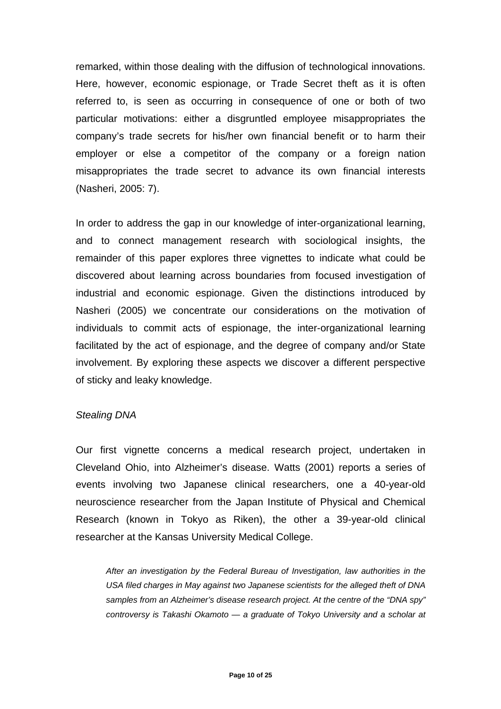remarked, within those dealing with the diffusion of technological innovations. Here, however, economic espionage, or Trade Secret theft as it is often referred to, is seen as occurring in consequence of one or both of two particular motivations: either a disgruntled employee misappropriates the company's trade secrets for his/her own financial benefit or to harm their employer or else a competitor of the company or a foreign nation misappropriates the trade secret to advance its own financial interests (Nasheri, 2005: 7).

In order to address the gap in our knowledge of inter-organizational learning, and to connect management research with sociological insights, the remainder of this paper explores three vignettes to indicate what could be discovered about learning across boundaries from focused investigation of industrial and economic espionage. Given the distinctions introduced by Nasheri (2005) we concentrate our considerations on the motivation of individuals to commit acts of espionage, the inter-organizational learning facilitated by the act of espionage, and the degree of company and/or State involvement. By exploring these aspects we discover a different perspective of sticky and leaky knowledge.

#### *Stealing DNA*

Our first vignette concerns a medical research project, undertaken in Cleveland Ohio, into Alzheimer's disease. Watts (2001) reports a series of events involving two Japanese clinical researchers, one a 40-year-old neuroscience researcher from the Japan Institute of Physical and Chemical Research (known in Tokyo as Riken), the other a 39-year-old clinical researcher at the Kansas University Medical College.

*After an investigation by the Federal Bureau of Investigation, law authorities in the USA filed charges in May against two Japanese scientists for the alleged theft of DNA samples from an Alzheimer's disease research project. At the centre of the "DNA spy" controversy is Takashi Okamoto — a graduate of Tokyo University and a scholar at*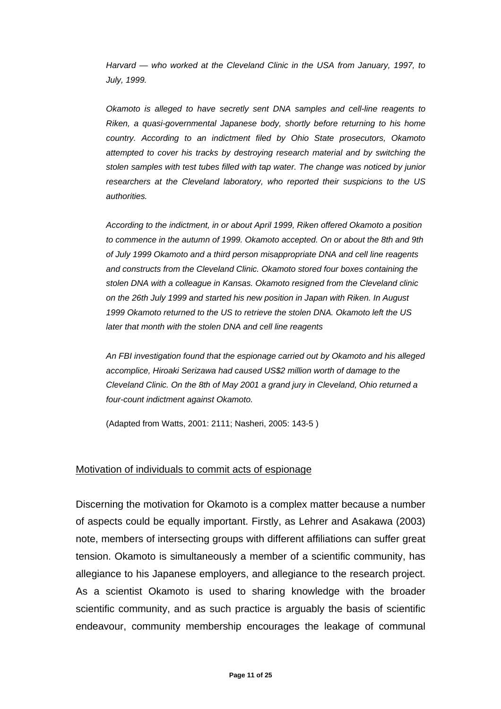*Harvard — who worked at the Cleveland Clinic in the USA from January, 1997, to July, 1999.* 

*Okamoto is alleged to have secretly sent DNA samples and cell-line reagents to Riken, a quasi-governmental Japanese body, shortly before returning to his home country. According to an indictment filed by Ohio State prosecutors, Okamoto attempted to cover his tracks by destroying research material and by switching the stolen samples with test tubes filled with tap water. The change was noticed by junior researchers at the Cleveland laboratory, who reported their suspicions to the US authorities.* 

*According to the indictment, in or about April 1999, Riken offered Okamoto a position to commence in the autumn of 1999. Okamoto accepted. On or about the 8th and 9th of July 1999 Okamoto and a third person misappropriate DNA and cell line reagents and constructs from the Cleveland Clinic. Okamoto stored four boxes containing the stolen DNA with a colleague in Kansas. Okamoto resigned from the Cleveland clinic on the 26th July 1999 and started his new position in Japan with Riken. In August 1999 Okamoto returned to the US to retrieve the stolen DNA. Okamoto left the US later that month with the stolen DNA and cell line reagents* 

*An FBI investigation found that the espionage carried out by Okamoto and his alleged accomplice, Hiroaki Serizawa had caused US\$2 million worth of damage to the Cleveland Clinic. On the 8th of May 2001 a grand jury in Cleveland, Ohio returned a four-count indictment against Okamoto.* 

(Adapted from Watts, 2001: 2111; Nasheri, 2005: 143-5 )

#### Motivation of individuals to commit acts of espionage

Discerning the motivation for Okamoto is a complex matter because a number of aspects could be equally important. Firstly, as Lehrer and Asakawa (2003) note, members of intersecting groups with different affiliations can suffer great tension. Okamoto is simultaneously a member of a scientific community, has allegiance to his Japanese employers, and allegiance to the research project. As a scientist Okamoto is used to sharing knowledge with the broader scientific community, and as such practice is arguably the basis of scientific endeavour, community membership encourages the leakage of communal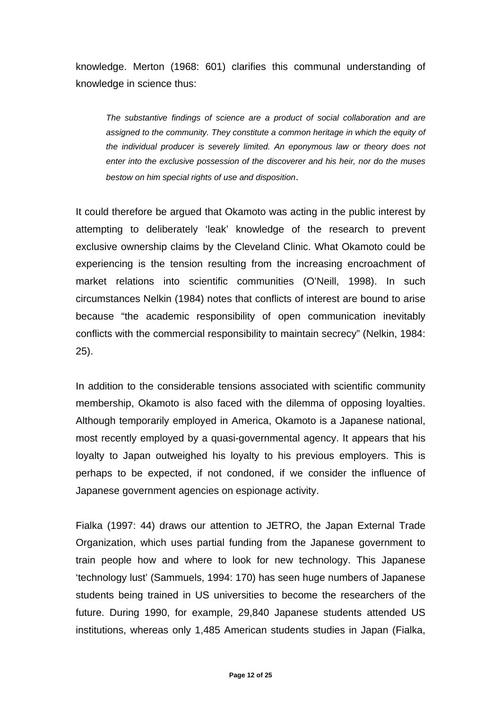knowledge. Merton (1968: 601) clarifies this communal understanding of knowledge in science thus:

*The substantive findings of science are a product of social collaboration and are assigned to the community. They constitute a common heritage in which the equity of the individual producer is severely limited. An eponymous law or theory does not enter into the exclusive possession of the discoverer and his heir, nor do the muses bestow on him special rights of use and disposition*.

It could therefore be argued that Okamoto was acting in the public interest by attempting to deliberately 'leak' knowledge of the research to prevent exclusive ownership claims by the Cleveland Clinic. What Okamoto could be experiencing is the tension resulting from the increasing encroachment of market relations into scientific communities (O'Neill, 1998). In such circumstances Nelkin (1984) notes that conflicts of interest are bound to arise because "the academic responsibility of open communication inevitably conflicts with the commercial responsibility to maintain secrecy" (Nelkin, 1984: 25).

In addition to the considerable tensions associated with scientific community membership, Okamoto is also faced with the dilemma of opposing loyalties. Although temporarily employed in America, Okamoto is a Japanese national, most recently employed by a quasi-governmental agency. It appears that his loyalty to Japan outweighed his loyalty to his previous employers. This is perhaps to be expected, if not condoned, if we consider the influence of Japanese government agencies on espionage activity.

Fialka (1997: 44) draws our attention to JETRO, the Japan External Trade Organization, which uses partial funding from the Japanese government to train people how and where to look for new technology. This Japanese 'technology lust' (Sammuels, 1994: 170) has seen huge numbers of Japanese students being trained in US universities to become the researchers of the future. During 1990, for example, 29,840 Japanese students attended US institutions, whereas only 1,485 American students studies in Japan (Fialka,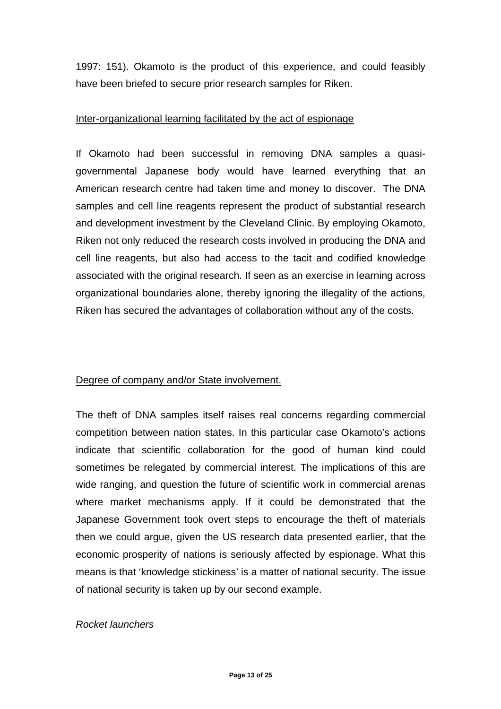1997: 151). Okamoto is the product of this experience, and could feasibly have been briefed to secure prior research samples for Riken.

#### Inter-organizational learning facilitated by the act of espionage

If Okamoto had been successful in removing DNA samples a quasigovernmental Japanese body would have learned everything that an American research centre had taken time and money to discover. The DNA samples and cell line reagents represent the product of substantial research and development investment by the Cleveland Clinic. By employing Okamoto, Riken not only reduced the research costs involved in producing the DNA and cell line reagents, but also had access to the tacit and codified knowledge associated with the original research. If seen as an exercise in learning across organizational boundaries alone, thereby ignoring the illegality of the actions, Riken has secured the advantages of collaboration without any of the costs.

## Degree of company and/or State involvement.

The theft of DNA samples itself raises real concerns regarding commercial competition between nation states. In this particular case Okamoto's actions indicate that scientific collaboration for the good of human kind could sometimes be relegated by commercial interest. The implications of this are wide ranging, and question the future of scientific work in commercial arenas where market mechanisms apply. If it could be demonstrated that the Japanese Government took overt steps to encourage the theft of materials then we could argue, given the US research data presented earlier, that the economic prosperity of nations is seriously affected by espionage. What this means is that 'knowledge stickiness' is a matter of national security. The issue of national security is taken up by our second example.

## *Rocket launchers*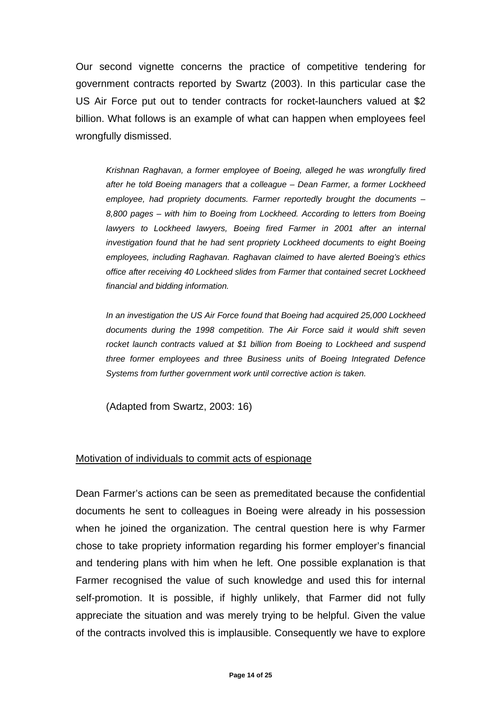Our second vignette concerns the practice of competitive tendering for government contracts reported by Swartz (2003). In this particular case the US Air Force put out to tender contracts for rocket-launchers valued at \$2 billion. What follows is an example of what can happen when employees feel wrongfully dismissed.

*Krishnan Raghavan, a former employee of Boeing, alleged he was wrongfully fired after he told Boeing managers that a colleague – Dean Farmer, a former Lockheed employee, had propriety documents. Farmer reportedly brought the documents – 8,800 pages – with him to Boeing from Lockheed. According to letters from Boeing*  lawyers to Lockheed lawyers, Boeing fired Farmer in 2001 after an internal *investigation found that he had sent propriety Lockheed documents to eight Boeing employees, including Raghavan. Raghavan claimed to have alerted Boeing's ethics office after receiving 40 Lockheed slides from Farmer that contained secret Lockheed financial and bidding information.* 

*In an investigation the US Air Force found that Boeing had acquired 25,000 Lockheed documents during the 1998 competition. The Air Force said it would shift seven rocket launch contracts valued at \$1 billion from Boeing to Lockheed and suspend three former employees and three Business units of Boeing Integrated Defence Systems from further government work until corrective action is taken.* 

(Adapted from Swartz, 2003: 16)

#### Motivation of individuals to commit acts of espionage

Dean Farmer's actions can be seen as premeditated because the confidential documents he sent to colleagues in Boeing were already in his possession when he joined the organization. The central question here is why Farmer chose to take propriety information regarding his former employer's financial and tendering plans with him when he left. One possible explanation is that Farmer recognised the value of such knowledge and used this for internal self-promotion. It is possible, if highly unlikely, that Farmer did not fully appreciate the situation and was merely trying to be helpful. Given the value of the contracts involved this is implausible. Consequently we have to explore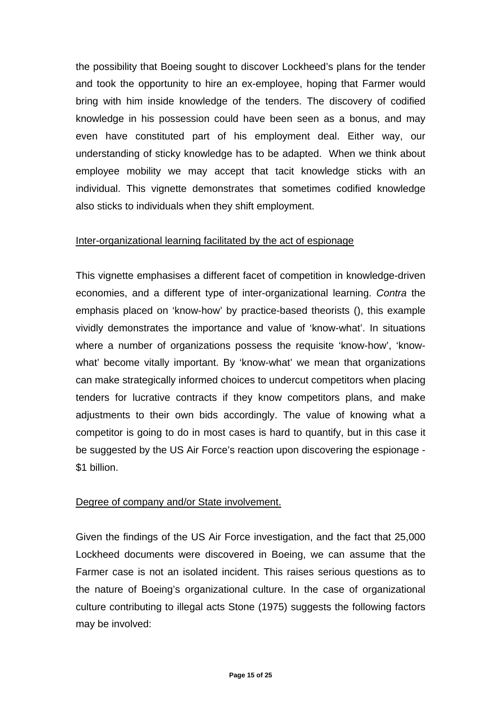the possibility that Boeing sought to discover Lockheed's plans for the tender and took the opportunity to hire an ex-employee, hoping that Farmer would bring with him inside knowledge of the tenders. The discovery of codified knowledge in his possession could have been seen as a bonus, and may even have constituted part of his employment deal. Either way, our understanding of sticky knowledge has to be adapted. When we think about employee mobility we may accept that tacit knowledge sticks with an individual. This vignette demonstrates that sometimes codified knowledge also sticks to individuals when they shift employment.

## Inter-organizational learning facilitated by the act of espionage

This vignette emphasises a different facet of competition in knowledge-driven economies, and a different type of inter-organizational learning. *Contra* the emphasis placed on 'know-how' by practice-based theorists (), this example vividly demonstrates the importance and value of 'know-what'. In situations where a number of organizations possess the requisite 'know-how', 'knowwhat' become vitally important. By 'know-what' we mean that organizations can make strategically informed choices to undercut competitors when placing tenders for lucrative contracts if they know competitors plans, and make adjustments to their own bids accordingly. The value of knowing what a competitor is going to do in most cases is hard to quantify, but in this case it be suggested by the US Air Force's reaction upon discovering the espionage - \$1 billion.

## Degree of company and/or State involvement.

Given the findings of the US Air Force investigation, and the fact that 25,000 Lockheed documents were discovered in Boeing, we can assume that the Farmer case is not an isolated incident. This raises serious questions as to the nature of Boeing's organizational culture. In the case of organizational culture contributing to illegal acts Stone (1975) suggests the following factors may be involved: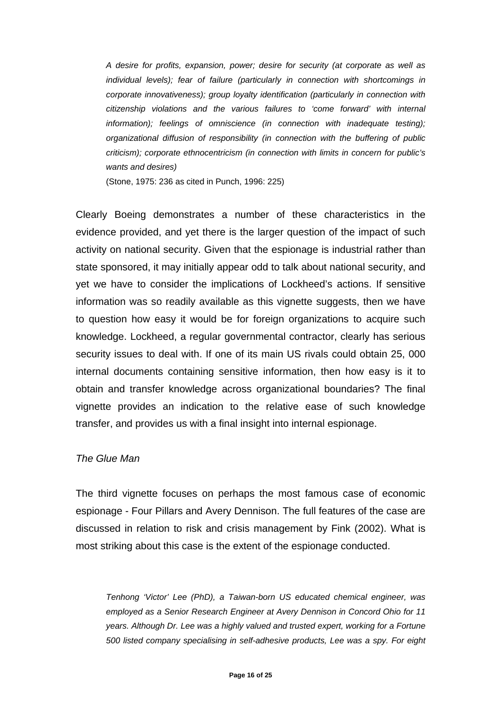*A desire for profits, expansion, power; desire for security (at corporate as well as individual levels); fear of failure (particularly in connection with shortcomings in corporate innovativeness); group loyalty identification (particularly in connection with citizenship violations and the various failures to 'come forward' with internal*  information); feelings of omniscience (in connection with inadequate testing); *organizational diffusion of responsibility (in connection with the buffering of public criticism); corporate ethnocentricism (in connection with limits in concern for public's wants and desires)* 

(Stone, 1975: 236 as cited in Punch, 1996: 225)

Clearly Boeing demonstrates a number of these characteristics in the evidence provided, and yet there is the larger question of the impact of such activity on national security. Given that the espionage is industrial rather than state sponsored, it may initially appear odd to talk about national security, and yet we have to consider the implications of Lockheed's actions. If sensitive information was so readily available as this vignette suggests, then we have to question how easy it would be for foreign organizations to acquire such knowledge. Lockheed, a regular governmental contractor, clearly has serious security issues to deal with. If one of its main US rivals could obtain 25, 000 internal documents containing sensitive information, then how easy is it to obtain and transfer knowledge across organizational boundaries? The final vignette provides an indication to the relative ease of such knowledge transfer, and provides us with a final insight into internal espionage.

#### *The Glue Man*

The third vignette focuses on perhaps the most famous case of economic espionage - Four Pillars and Avery Dennison. The full features of the case are discussed in relation to risk and crisis management by Fink (2002). What is most striking about this case is the extent of the espionage conducted.

*Tenhong 'Victor' Lee (PhD), a Taiwan-born US educated chemical engineer, was employed as a Senior Research Engineer at Avery Dennison in Concord Ohio for 11 years. Although Dr. Lee was a highly valued and trusted expert, working for a Fortune 500 listed company specialising in self-adhesive products, Lee was a spy. For eight*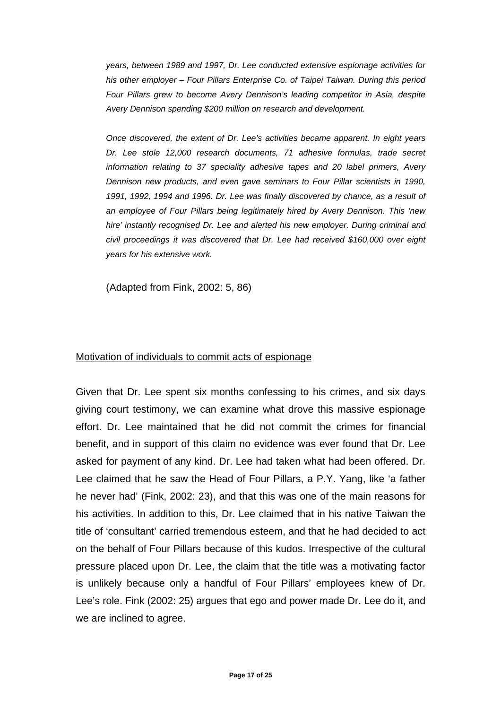*years, between 1989 and 1997, Dr. Lee conducted extensive espionage activities for his other employer – Four Pillars Enterprise Co. of Taipei Taiwan. During this period Four Pillars grew to become Avery Dennison's leading competitor in Asia, despite Avery Dennison spending \$200 million on research and development.* 

*Once discovered, the extent of Dr. Lee's activities became apparent. In eight years Dr. Lee stole 12,000 research documents, 71 adhesive formulas, trade secret information relating to 37 speciality adhesive tapes and 20 label primers, Avery Dennison new products, and even gave seminars to Four Pillar scientists in 1990, 1991, 1992, 1994 and 1996. Dr. Lee was finally discovered by chance, as a result of an employee of Four Pillars being legitimately hired by Avery Dennison. This 'new hire' instantly recognised Dr. Lee and alerted his new employer. During criminal and civil proceedings it was discovered that Dr. Lee had received \$160,000 over eight years for his extensive work.*

(Adapted from Fink, 2002: 5, 86)

#### Motivation of individuals to commit acts of espionage

Given that Dr. Lee spent six months confessing to his crimes, and six days giving court testimony, we can examine what drove this massive espionage effort. Dr. Lee maintained that he did not commit the crimes for financial benefit, and in support of this claim no evidence was ever found that Dr. Lee asked for payment of any kind. Dr. Lee had taken what had been offered. Dr. Lee claimed that he saw the Head of Four Pillars, a P.Y. Yang, like 'a father he never had' (Fink, 2002: 23), and that this was one of the main reasons for his activities. In addition to this, Dr. Lee claimed that in his native Taiwan the title of 'consultant' carried tremendous esteem, and that he had decided to act on the behalf of Four Pillars because of this kudos. Irrespective of the cultural pressure placed upon Dr. Lee, the claim that the title was a motivating factor is unlikely because only a handful of Four Pillars' employees knew of Dr. Lee's role. Fink (2002: 25) argues that ego and power made Dr. Lee do it, and we are inclined to agree.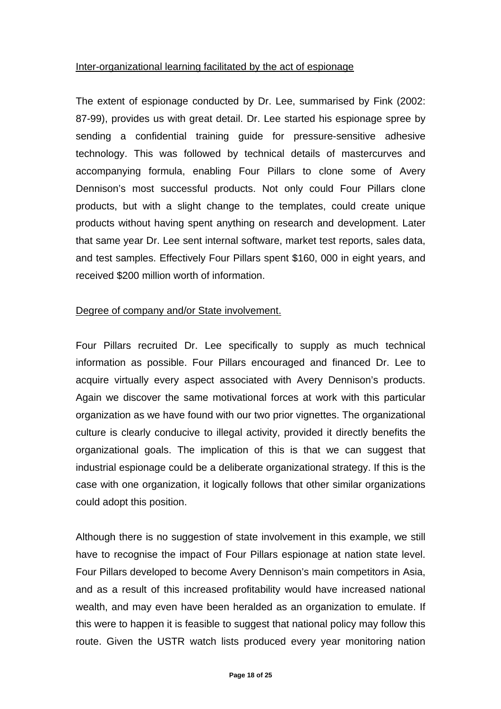## Inter-organizational learning facilitated by the act of espionage

The extent of espionage conducted by Dr. Lee, summarised by Fink (2002: 87-99), provides us with great detail. Dr. Lee started his espionage spree by sending a confidential training guide for pressure-sensitive adhesive technology. This was followed by technical details of mastercurves and accompanying formula, enabling Four Pillars to clone some of Avery Dennison's most successful products. Not only could Four Pillars clone products, but with a slight change to the templates, could create unique products without having spent anything on research and development. Later that same year Dr. Lee sent internal software, market test reports, sales data, and test samples. Effectively Four Pillars spent \$160, 000 in eight years, and received \$200 million worth of information.

## Degree of company and/or State involvement.

Four Pillars recruited Dr. Lee specifically to supply as much technical information as possible. Four Pillars encouraged and financed Dr. Lee to acquire virtually every aspect associated with Avery Dennison's products. Again we discover the same motivational forces at work with this particular organization as we have found with our two prior vignettes. The organizational culture is clearly conducive to illegal activity, provided it directly benefits the organizational goals. The implication of this is that we can suggest that industrial espionage could be a deliberate organizational strategy. If this is the case with one organization, it logically follows that other similar organizations could adopt this position.

Although there is no suggestion of state involvement in this example, we still have to recognise the impact of Four Pillars espionage at nation state level. Four Pillars developed to become Avery Dennison's main competitors in Asia, and as a result of this increased profitability would have increased national wealth, and may even have been heralded as an organization to emulate. If this were to happen it is feasible to suggest that national policy may follow this route. Given the USTR watch lists produced every year monitoring nation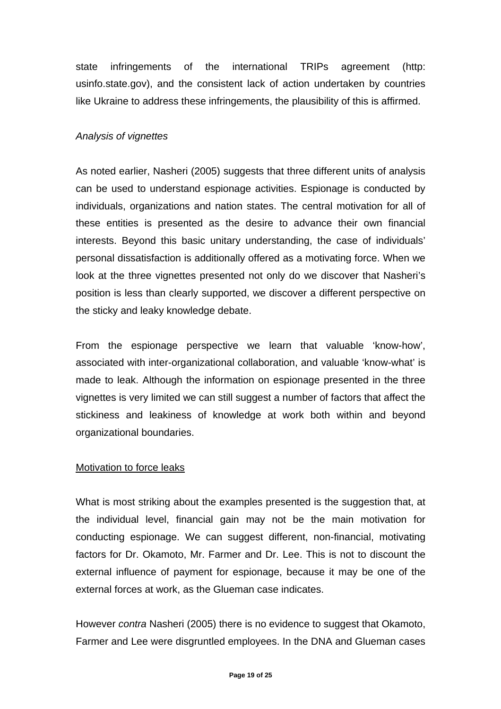state infringements of the international TRIPs agreement (http: usinfo.state.gov), and the consistent lack of action undertaken by countries like Ukraine to address these infringements, the plausibility of this is affirmed.

#### *Analysis of vignettes*

As noted earlier, Nasheri (2005) suggests that three different units of analysis can be used to understand espionage activities. Espionage is conducted by individuals, organizations and nation states. The central motivation for all of these entities is presented as the desire to advance their own financial interests. Beyond this basic unitary understanding, the case of individuals' personal dissatisfaction is additionally offered as a motivating force. When we look at the three vignettes presented not only do we discover that Nasheri's position is less than clearly supported, we discover a different perspective on the sticky and leaky knowledge debate.

From the espionage perspective we learn that valuable 'know-how', associated with inter-organizational collaboration, and valuable 'know-what' is made to leak. Although the information on espionage presented in the three vignettes is very limited we can still suggest a number of factors that affect the stickiness and leakiness of knowledge at work both within and beyond organizational boundaries.

## Motivation to force leaks

What is most striking about the examples presented is the suggestion that, at the individual level, financial gain may not be the main motivation for conducting espionage. We can suggest different, non-financial, motivating factors for Dr. Okamoto, Mr. Farmer and Dr. Lee. This is not to discount the external influence of payment for espionage, because it may be one of the external forces at work, as the Glueman case indicates.

However *contra* Nasheri (2005) there is no evidence to suggest that Okamoto, Farmer and Lee were disgruntled employees. In the DNA and Glueman cases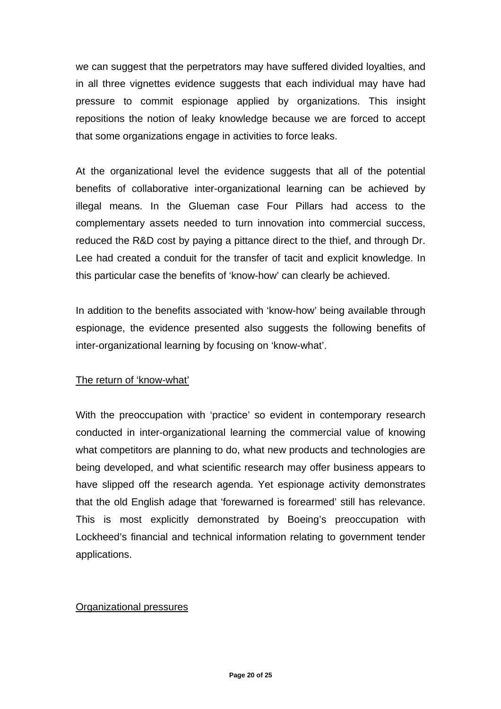we can suggest that the perpetrators may have suffered divided loyalties, and in all three vignettes evidence suggests that each individual may have had pressure to commit espionage applied by organizations. This insight repositions the notion of leaky knowledge because we are forced to accept that some organizations engage in activities to force leaks.

At the organizational level the evidence suggests that all of the potential benefits of collaborative inter-organizational learning can be achieved by illegal means. In the Glueman case Four Pillars had access to the complementary assets needed to turn innovation into commercial success, reduced the R&D cost by paying a pittance direct to the thief, and through Dr. Lee had created a conduit for the transfer of tacit and explicit knowledge. In this particular case the benefits of 'know-how' can clearly be achieved.

In addition to the benefits associated with 'know-how' being available through espionage, the evidence presented also suggests the following benefits of inter-organizational learning by focusing on 'know-what'.

## The return of 'know-what'

With the preoccupation with 'practice' so evident in contemporary research conducted in inter-organizational learning the commercial value of knowing what competitors are planning to do, what new products and technologies are being developed, and what scientific research may offer business appears to have slipped off the research agenda. Yet espionage activity demonstrates that the old English adage that 'forewarned is forearmed' still has relevance. This is most explicitly demonstrated by Boeing's preoccupation with Lockheed's financial and technical information relating to government tender applications.

## Organizational pressures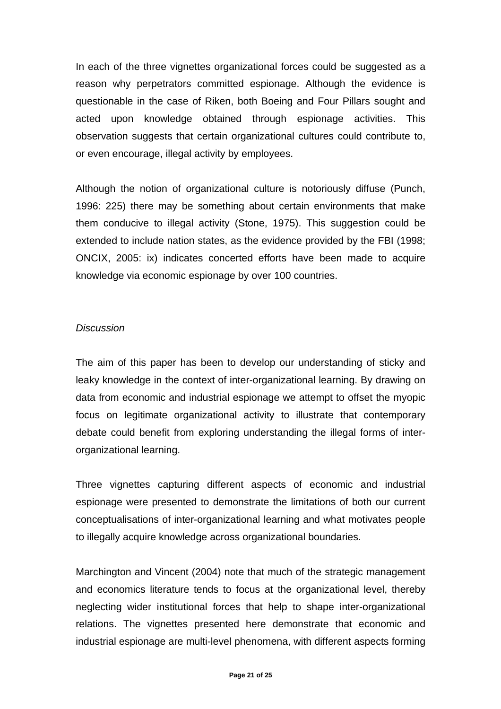In each of the three vignettes organizational forces could be suggested as a reason why perpetrators committed espionage. Although the evidence is questionable in the case of Riken, both Boeing and Four Pillars sought and acted upon knowledge obtained through espionage activities. This observation suggests that certain organizational cultures could contribute to, or even encourage, illegal activity by employees.

Although the notion of organizational culture is notoriously diffuse (Punch, 1996: 225) there may be something about certain environments that make them conducive to illegal activity (Stone, 1975). This suggestion could be extended to include nation states, as the evidence provided by the FBI (1998; ONCIX, 2005: ix) indicates concerted efforts have been made to acquire knowledge via economic espionage by over 100 countries.

## *Discussion*

The aim of this paper has been to develop our understanding of sticky and leaky knowledge in the context of inter-organizational learning. By drawing on data from economic and industrial espionage we attempt to offset the myopic focus on legitimate organizational activity to illustrate that contemporary debate could benefit from exploring understanding the illegal forms of interorganizational learning.

Three vignettes capturing different aspects of economic and industrial espionage were presented to demonstrate the limitations of both our current conceptualisations of inter-organizational learning and what motivates people to illegally acquire knowledge across organizational boundaries.

Marchington and Vincent (2004) note that much of the strategic management and economics literature tends to focus at the organizational level, thereby neglecting wider institutional forces that help to shape inter-organizational relations. The vignettes presented here demonstrate that economic and industrial espionage are multi-level phenomena, with different aspects forming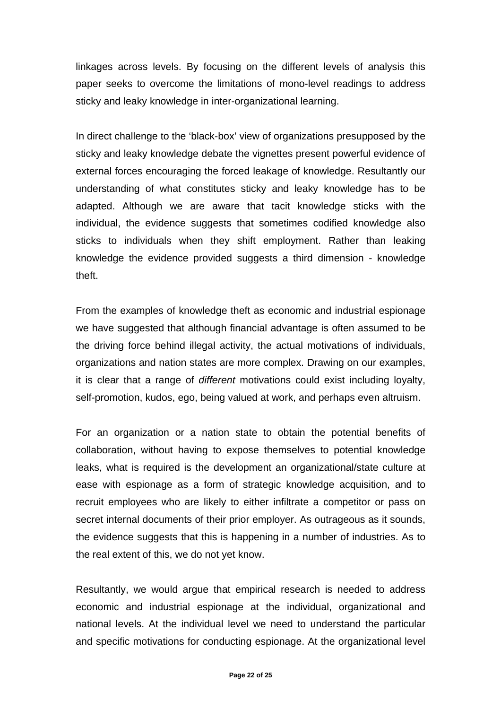linkages across levels. By focusing on the different levels of analysis this paper seeks to overcome the limitations of mono-level readings to address sticky and leaky knowledge in inter-organizational learning.

In direct challenge to the 'black-box' view of organizations presupposed by the sticky and leaky knowledge debate the vignettes present powerful evidence of external forces encouraging the forced leakage of knowledge. Resultantly our understanding of what constitutes sticky and leaky knowledge has to be adapted. Although we are aware that tacit knowledge sticks with the individual, the evidence suggests that sometimes codified knowledge also sticks to individuals when they shift employment. Rather than leaking knowledge the evidence provided suggests a third dimension - knowledge theft.

From the examples of knowledge theft as economic and industrial espionage we have suggested that although financial advantage is often assumed to be the driving force behind illegal activity, the actual motivations of individuals, organizations and nation states are more complex. Drawing on our examples, it is clear that a range of *different* motivations could exist including loyalty, self-promotion, kudos, ego, being valued at work, and perhaps even altruism.

For an organization or a nation state to obtain the potential benefits of collaboration, without having to expose themselves to potential knowledge leaks, what is required is the development an organizational/state culture at ease with espionage as a form of strategic knowledge acquisition, and to recruit employees who are likely to either infiltrate a competitor or pass on secret internal documents of their prior employer. As outrageous as it sounds, the evidence suggests that this is happening in a number of industries. As to the real extent of this, we do not yet know.

Resultantly, we would argue that empirical research is needed to address economic and industrial espionage at the individual, organizational and national levels. At the individual level we need to understand the particular and specific motivations for conducting espionage. At the organizational level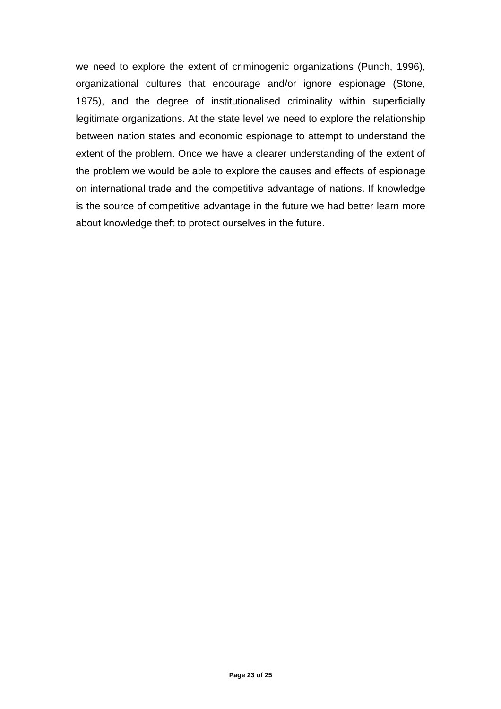we need to explore the extent of criminogenic organizations (Punch, 1996), organizational cultures that encourage and/or ignore espionage (Stone, 1975), and the degree of institutionalised criminality within superficially legitimate organizations. At the state level we need to explore the relationship between nation states and economic espionage to attempt to understand the extent of the problem. Once we have a clearer understanding of the extent of the problem we would be able to explore the causes and effects of espionage on international trade and the competitive advantage of nations. If knowledge is the source of competitive advantage in the future we had better learn more about knowledge theft to protect ourselves in the future.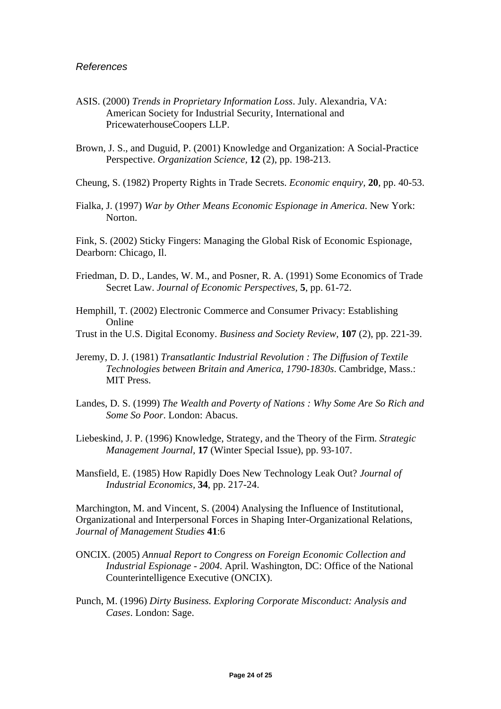- ASIS. (2000) *Trends in Proprietary Information Loss*. July. Alexandria, VA: American Society for Industrial Security, International and PricewaterhouseCoopers LLP.
- Brown, J. S., and Duguid, P. (2001) Knowledge and Organization: A Social-Practice Perspective. *Organization Science,* **12** (2), pp. 198-213.

Cheung, S. (1982) Property Rights in Trade Secrets. *Economic enquiry,* **20**, pp. 40-53.

Fialka, J. (1997) *War by Other Means Economic Espionage in America*. New York: Norton.

Fink, S. (2002) Sticky Fingers: Managing the Global Risk of Economic Espionage, Dearborn: Chicago, Il.

- Friedman, D. D., Landes, W. M., and Posner, R. A. (1991) Some Economics of Trade Secret Law. *Journal of Economic Perspectives,* **5**, pp. 61-72.
- Hemphill, T. (2002) Electronic Commerce and Consumer Privacy: Establishing Online
- Trust in the U.S. Digital Economy. *Business and Society Review,* **107** (2), pp. 221-39.
- Jeremy, D. J. (1981) *Transatlantic Industrial Revolution : The Diffusion of Textile Technologies between Britain and America, 1790-1830s*. Cambridge, Mass.: MIT Press.
- Landes, D. S. (1999) *The Wealth and Poverty of Nations : Why Some Are So Rich and Some So Poor*. London: Abacus.
- Liebeskind, J. P. (1996) Knowledge, Strategy, and the Theory of the Firm. *Strategic Management Journal,* **17** (Winter Special Issue), pp. 93-107.
- Mansfield, E. (1985) How Rapidly Does New Technology Leak Out? *Journal of Industrial Economics,* **34**, pp. 217-24.

Marchington, M. and Vincent, S. (2004) Analysing the Influence of Institutional, Organizational and Interpersonal Forces in Shaping Inter-Organizational Relations, *Journal of Management Studies* **41**:6

- ONCIX. (2005) *Annual Report to Congress on Foreign Economic Collection and Industrial Espionage - 2004*. April. Washington, DC: Office of the National Counterintelligence Executive (ONCIX).
- Punch, M. (1996) *Dirty Business. Exploring Corporate Misconduct: Analysis and Cases*. London: Sage.